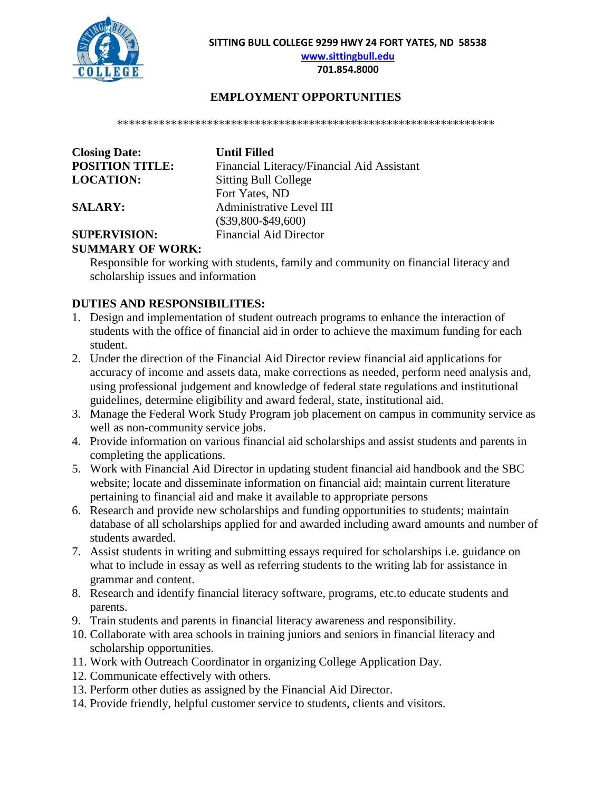

**[www.sittingbull.edu](http://www.sittingbull.edu/)**

## **701.854.8000**

## **EMPLOYMENT OPPORTUNITIES**

\*\*\*\*\*\*\*\*\*\*\*\*\*\*\*\*\*\*\*\*\*\*\*\*\*\*\*\*\*\*\*\*\*\*\*\*\*\*\*\*\*\*\*\*\*\*\*\*\*\*\*\*\*\*\*\*\*\*\*\*\*\*\*

| <b>Closing Date:</b>   |  |
|------------------------|--|
| <b>POSITION TITLE:</b> |  |
| <b>LOCATION:</b>       |  |

**Closing Date: Until Filled**  Financial Literacy/Financial Aid Assistant **Sitting Bull College** Fort Yates, ND **SALARY:** Administrative Level III (\$39,800-\$49,600) **SUPERVISION:** Financial Aid Director

## **SUMMARY OF WORK:**

Responsible for working with students, family and community on financial literacy and scholarship issues and information

## **DUTIES AND RESPONSIBILITIES:**

- 1. Design and implementation of student outreach programs to enhance the interaction of students with the office of financial aid in order to achieve the maximum funding for each student.
- 2. Under the direction of the Financial Aid Director review financial aid applications for accuracy of income and assets data, make corrections as needed, perform need analysis and, using professional judgement and knowledge of federal state regulations and institutional guidelines, determine eligibility and award federal, state, institutional aid.
- 3. Manage the Federal Work Study Program job placement on campus in community service as well as non-community service jobs.
- 4. Provide information on various financial aid scholarships and assist students and parents in completing the applications.
- 5. Work with Financial Aid Director in updating student financial aid handbook and the SBC website; locate and disseminate information on financial aid; maintain current literature pertaining to financial aid and make it available to appropriate persons
- 6. Research and provide new scholarships and funding opportunities to students; maintain database of all scholarships applied for and awarded including award amounts and number of students awarded.
- 7. Assist students in writing and submitting essays required for scholarships i.e. guidance on what to include in essay as well as referring students to the writing lab for assistance in grammar and content.
- 8. Research and identify financial literacy software, programs, etc.to educate students and parents.
- 9. Train students and parents in financial literacy awareness and responsibility.
- 10. Collaborate with area schools in training juniors and seniors in financial literacy and scholarship opportunities.
- 11. Work with Outreach Coordinator in organizing College Application Day.
- 12. Communicate effectively with others.
- 13. Perform other duties as assigned by the Financial Aid Director.
- 14. Provide friendly, helpful customer service to students, clients and visitors.